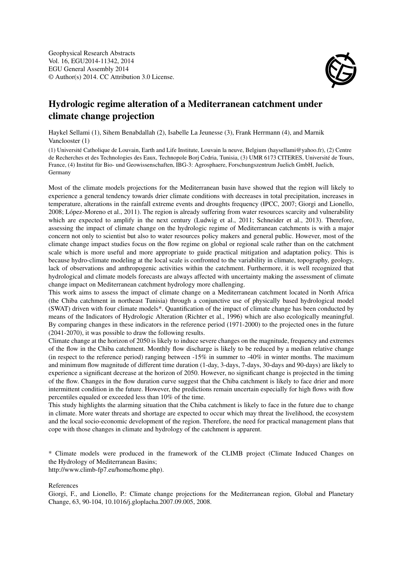

## Hydrologic regime alteration of a Mediterranean catchment under climate change projection

Haykel Sellami (1), Sihem Benabdallah (2), Isabelle La Jeunesse (3), Frank Herrmann (4), and Marnik Vanclooster (1)

(1) Université Catholique de Louvain, Earth and Life Institute, Louvain la neuve, Belgium (haysellami@yahoo.fr), (2) Centre de Recherches et des Technologies des Eaux, Technopole Borj Cedria, Tunisia, (3) UMR 6173 CITERES, Université de Tours, France, (4) Institut für Bio- und Geowissenschaften, IBG-3: Agrosphaere, Forschungszentrum Juelich GmbH, Juelich, Germany

Most of the climate models projections for the Mediterranean basin have showed that the region will likely to experience a general tendency towards drier climate conditions with decreases in total precipitation, increases in temperature, alterations in the rainfall extreme events and droughts frequency (IPCC, 2007; Giorgi and Lionello, 2008; López-Moreno et al., 2011). The region is already suffering from water resources scarcity and vulnerability which are expected to amplify in the next century (Ludwig et al., 2011; Schneider et al., 2013). Therefore, assessing the impact of climate change on the hydrologic regime of Mediterranean catchments is with a major concern not only to scientist but also to water resources policy makers and general public. However, most of the climate change impact studies focus on the flow regime on global or regional scale rather than on the catchment scale which is more useful and more appropriate to guide practical mitigation and adaptation policy. This is because hydro-climate modeling at the local scale is confronted to the variability in climate, topography, geology, lack of observations and anthropogenic activities within the catchment. Furthermore, it is well recognized that hydrological and climate models forecasts are always affected with uncertainty making the assessment of climate change impact on Mediterranean catchment hydrology more challenging.

This work aims to assess the impact of climate change on a Mediterranean catchment located in North Africa (the Chiba catchment in northeast Tunisia) through a conjunctive use of physically based hydrological model (SWAT) driven with four climate models\*. Quantification of the impact of climate change has been conducted by means of the Indicators of Hydrologic Alteration (Richter et al., 1996) which are also ecologically meaningful. By comparing changes in these indicators in the reference period (1971-2000) to the projected ones in the future (2041-2070), it was possible to draw the following results.

Climate change at the horizon of 2050 is likely to induce severe changes on the magnitude, frequency and extremes of the flow in the Chiba catchment. Monthly flow discharge is likely to be reduced by a median relative change (in respect to the reference period) ranging between -15% in summer to -40% in winter months. The maximum and minimum flow magnitude of different time duration (1-day, 3-days, 7-days, 30-days and 90-days) are likely to experience a significant decrease at the horizon of 2050. However, no significant change is projected in the timing of the flow. Changes in the flow duration curve suggest that the Chiba catchment is likely to face drier and more intermittent condition in the future. However, the predictions remain uncertain especially for high flows with flow percentiles equaled or exceeded less than 10% of the time.

This study highlights the alarming situation that the Chiba catchment is likely to face in the future due to change in climate. More water threats and shortage are expected to occur which may threat the livelihood, the ecosystem and the local socio-economic development of the region. Therefore, the need for practical management plans that cope with those changes in climate and hydrology of the catchment is apparent.

\* Climate models were produced in the framework of the CLIMB project (Climate Induced Changes on the Hydrology of Mediterranean Basins;

http://www.climb-fp7.eu/home/home.php).

References

Giorgi, F., and Lionello, P.: Climate change projections for the Mediterranean region, Global and Planetary Change, 63, 90-104, 10.1016/j.gloplacha.2007.09.005, 2008.